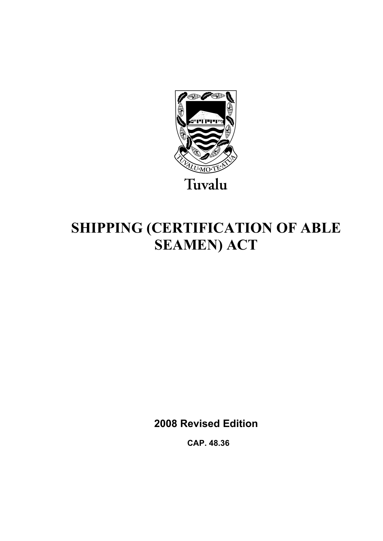

# **SHIPPING (CERTIFICATION OF ABLE SEAMEN) ACT**

**2008 Revised Edition** 

 **CAP. 48.36**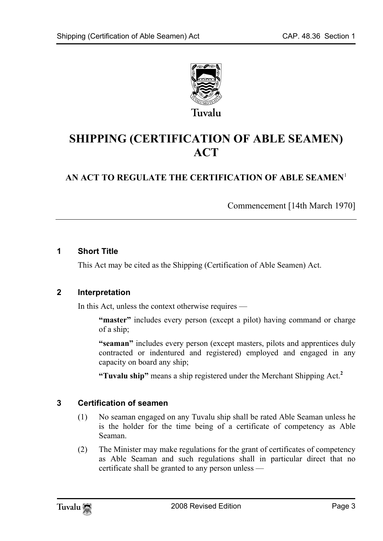

# **SHIPPING (CERTIFICATION OF ABLE SEAMEN) ACT**

## **AN ACT TO REGULATE THE CERTIFICATION OF ABLE SEAMEN**<sup>1</sup>

Commencement [14th March 1970]

#### **1 Short Title**

This Act may be cited as the Shipping (Certification of Able Seamen) Act.

#### **2 Interpretation**

In this Act, unless the context otherwise requires —

**"master"** includes every person (except a pilot) having command or charge of a ship;

**"seaman"** includes every person (except masters, pilots and apprentices duly contracted or indentured and registered) employed and engaged in any capacity on board any ship;

**"Tuvalu ship"** means a ship registered under the Merchant Shipping Act.**<sup>2</sup>**

#### **3 Certification of seamen**

- (1) No seaman engaged on any Tuvalu ship shall be rated Able Seaman unless he is the holder for the time being of a certificate of competency as Able Seaman.
- (2) The Minister may make regulations for the grant of certificates of competency as Able Seaman and such regulations shall in particular direct that no certificate shall be granted to any person unless —